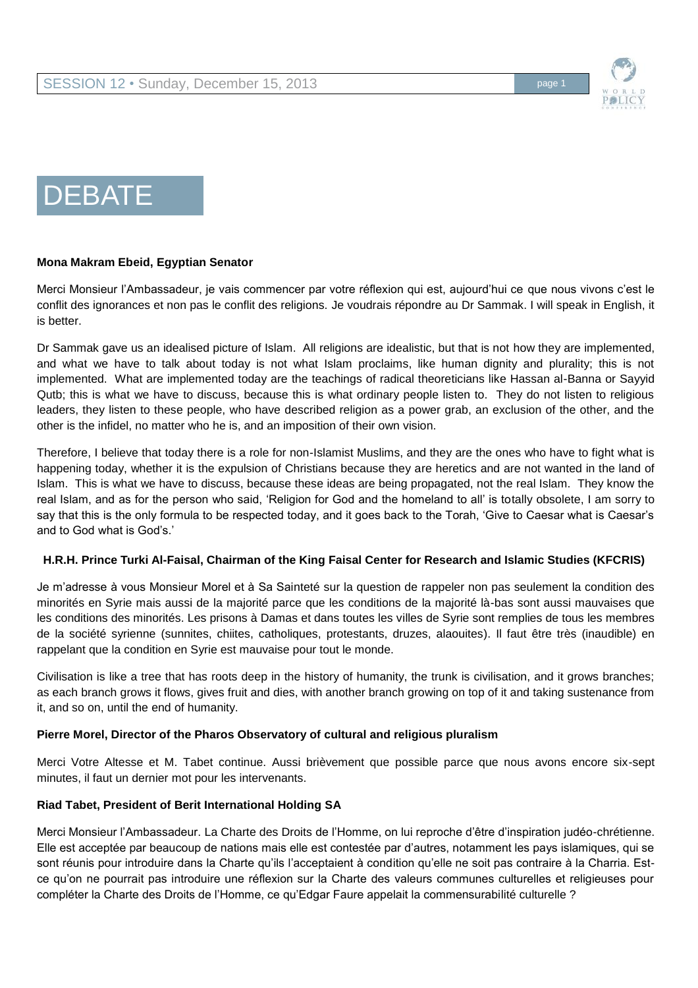

# **DEBATE**

#### **Mona Makram Ebeid, Egyptian Senator**

Merci Monsieur l'Ambassadeur, je vais commencer par votre réflexion qui est, aujourd'hui ce que nous vivons c'est le conflit des ignorances et non pas le conflit des religions. Je voudrais répondre au Dr Sammak. I will speak in English, it is better.

Dr Sammak gave us an idealised picture of Islam. All religions are idealistic, but that is not how they are implemented, and what we have to talk about today is not what Islam proclaims, like human dignity and plurality; this is not implemented. What are implemented today are the teachings of radical theoreticians like Hassan al-Banna or Sayyid Qutb; this is what we have to discuss, because this is what ordinary people listen to. They do not listen to religious leaders, they listen to these people, who have described religion as a power grab, an exclusion of the other, and the other is the infidel, no matter who he is, and an imposition of their own vision.

Therefore, I believe that today there is a role for non-Islamist Muslims, and they are the ones who have to fight what is happening today, whether it is the expulsion of Christians because they are heretics and are not wanted in the land of Islam. This is what we have to discuss, because these ideas are being propagated, not the real Islam. They know the real Islam, and as for the person who said, 'Religion for God and the homeland to all' is totally obsolete, I am sorry to say that this is the only formula to be respected today, and it goes back to the Torah, 'Give to Caesar what is Caesar's and to God what is God's.'

# **H.R.H. Prince Turki Al-Faisal, Chairman of the King Faisal Center for Research and Islamic Studies (KFCRIS)**

Je m'adresse à vous Monsieur Morel et à Sa Sainteté sur la question de rappeler non pas seulement la condition des minorités en Syrie mais aussi de la majorité parce que les conditions de la majorité là-bas sont aussi mauvaises que les conditions des minorités. Les prisons à Damas et dans toutes les villes de Syrie sont remplies de tous les membres de la société syrienne (sunnites, chiites, catholiques, protestants, druzes, alaouites). Il faut être très (inaudible) en rappelant que la condition en Syrie est mauvaise pour tout le monde.

Civilisation is like a tree that has roots deep in the history of humanity, the trunk is civilisation, and it grows branches; as each branch grows it flows, gives fruit and dies, with another branch growing on top of it and taking sustenance from it, and so on, until the end of humanity.

# **Pierre Morel, Director of the Pharos Observatory of cultural and religious pluralism**

Merci Votre Altesse et M. Tabet continue. Aussi brièvement que possible parce que nous avons encore six-sept minutes, il faut un dernier mot pour les intervenants.

# **Riad Tabet, President of Berit International Holding SA**

Merci Monsieur l'Ambassadeur. La Charte des Droits de l'Homme, on lui reproche d'être d'inspiration judéo-chrétienne. Elle est acceptée par beaucoup de nations mais elle est contestée par d'autres, notamment les pays islamiques, qui se sont réunis pour introduire dans la Charte qu'ils l'acceptaient à condition qu'elle ne soit pas contraire à la Charria. Estce qu'on ne pourrait pas introduire une réflexion sur la Charte des valeurs communes culturelles et religieuses pour compléter la Charte des Droits de l'Homme, ce qu'Edgar Faure appelait la commensurabilité culturelle ?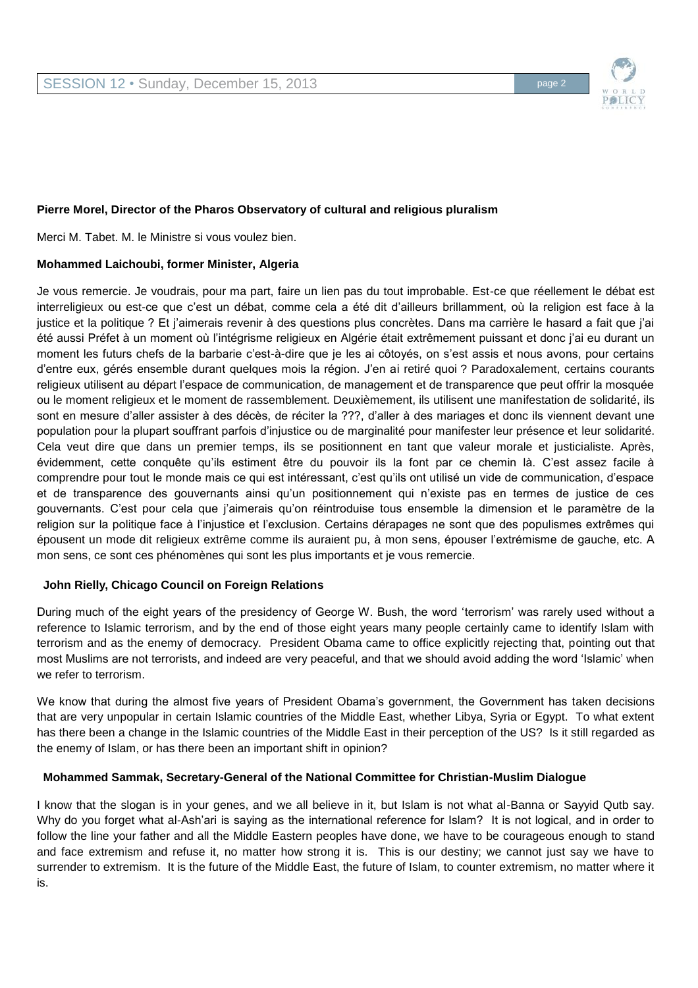

# **Pierre Morel, Director of the Pharos Observatory of cultural and religious pluralism**

Merci M. Tabet. M. le Ministre si vous voulez bien.

#### **Mohammed Laichoubi, former Minister, Algeria**

Je vous remercie. Je voudrais, pour ma part, faire un lien pas du tout improbable. Est-ce que réellement le débat est interreligieux ou est-ce que c'est un débat, comme cela a été dit d'ailleurs brillamment, où la religion est face à la justice et la politique ? Et j'aimerais revenir à des questions plus concrètes. Dans ma carrière le hasard a fait que j'ai été aussi Préfet à un moment où l'intégrisme religieux en Algérie était extrêmement puissant et donc j'ai eu durant un moment les futurs chefs de la barbarie c'est-à-dire que je les ai côtoyés, on s'est assis et nous avons, pour certains d'entre eux, gérés ensemble durant quelques mois la région. J'en ai retiré quoi ? Paradoxalement, certains courants religieux utilisent au départ l'espace de communication, de management et de transparence que peut offrir la mosquée ou le moment religieux et le moment de rassemblement. Deuxièmement, ils utilisent une manifestation de solidarité, ils sont en mesure d'aller assister à des décès, de réciter la ???, d'aller à des mariages et donc ils viennent devant une population pour la plupart souffrant parfois d'injustice ou de marginalité pour manifester leur présence et leur solidarité. Cela veut dire que dans un premier temps, ils se positionnent en tant que valeur morale et justicialiste. Après, évidemment, cette conquête qu'ils estiment être du pouvoir ils la font par ce chemin là. C'est assez facile à comprendre pour tout le monde mais ce qui est intéressant, c'est qu'ils ont utilisé un vide de communication, d'espace et de transparence des gouvernants ainsi qu'un positionnement qui n'existe pas en termes de justice de ces gouvernants. C'est pour cela que j'aimerais qu'on réintroduise tous ensemble la dimension et le paramètre de la religion sur la politique face à l'injustice et l'exclusion. Certains dérapages ne sont que des populismes extrêmes qui épousent un mode dit religieux extrême comme ils auraient pu, à mon sens, épouser l'extrémisme de gauche, etc. A mon sens, ce sont ces phénomènes qui sont les plus importants et je vous remercie.

#### **John Rielly, Chicago Council on Foreign Relations**

During much of the eight years of the presidency of George W. Bush, the word 'terrorism' was rarely used without a reference to Islamic terrorism, and by the end of those eight years many people certainly came to identify Islam with terrorism and as the enemy of democracy. President Obama came to office explicitly rejecting that, pointing out that most Muslims are not terrorists, and indeed are very peaceful, and that we should avoid adding the word 'Islamic' when we refer to terrorism.

We know that during the almost five years of President Obama's government, the Government has taken decisions that are very unpopular in certain Islamic countries of the Middle East, whether Libya, Syria or Egypt. To what extent has there been a change in the Islamic countries of the Middle East in their perception of the US? Is it still regarded as the enemy of Islam, or has there been an important shift in opinion?

#### **Mohammed Sammak, Secretary-General of the National Committee for Christian-Muslim Dialogue**

I know that the slogan is in your genes, and we all believe in it, but Islam is not what al-Banna or Sayyid Qutb say. Why do you forget what al-Ash'ari is saying as the international reference for Islam? It is not logical, and in order to follow the line your father and all the Middle Eastern peoples have done, we have to be courageous enough to stand and face extremism and refuse it, no matter how strong it is. This is our destiny; we cannot just say we have to surrender to extremism. It is the future of the Middle East, the future of Islam, to counter extremism, no matter where it is.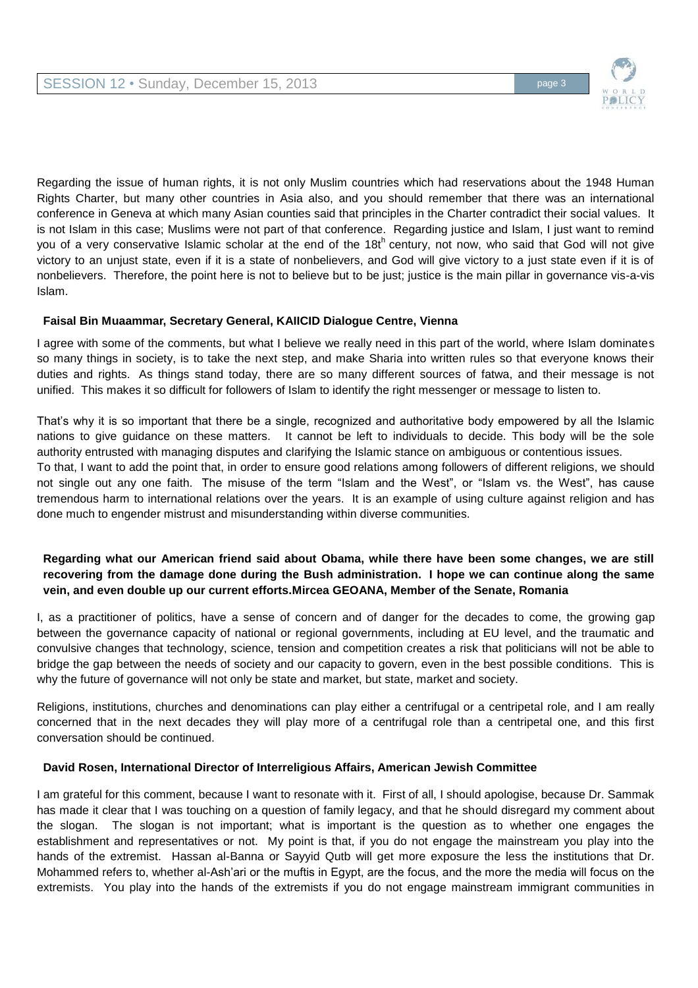

Regarding the issue of human rights, it is not only Muslim countries which had reservations about the 1948 Human Rights Charter, but many other countries in Asia also, and you should remember that there was an international conference in Geneva at which many Asian counties said that principles in the Charter contradict their social values. It is not Islam in this case; Muslims were not part of that conference. Regarding justice and Islam, I just want to remind you of a very conservative Islamic scholar at the end of the 18th century, not now, who said that God will not give victory to an unjust state, even if it is a state of nonbelievers, and God will give victory to a just state even if it is of nonbelievers. Therefore, the point here is not to believe but to be just; justice is the main pillar in governance vis-a-vis Islam.

# **Faisal Bin Muaammar, Secretary General, KAIICID Dialogue Centre, Vienna**

I agree with some of the comments, but what I believe we really need in this part of the world, where Islam dominates so many things in society, is to take the next step, and make Sharia into written rules so that everyone knows their duties and rights. As things stand today, there are so many different sources of fatwa, and their message is not unified. This makes it so difficult for followers of Islam to identify the right messenger or message to listen to.

That's why it is so important that there be a single, recognized and authoritative body empowered by all the Islamic nations to give guidance on these matters. It cannot be left to individuals to decide. This body will be the sole authority entrusted with managing disputes and clarifying the Islamic stance on ambiguous or contentious issues. To that, I want to add the point that, in order to ensure good relations among followers of different religions, we should not single out any one faith. The misuse of the term "Islam and the West", or "Islam vs. the West", has cause tremendous harm to international relations over the years. It is an example of using culture against religion and has done much to engender mistrust and misunderstanding within diverse communities.

# **Regarding what our American friend said about Obama, while there have been some changes, we are still recovering from the damage done during the Bush administration. I hope we can continue along the same vein, and even double up our current efforts.Mircea GEOANA, Member of the Senate, Romania**

I, as a practitioner of politics, have a sense of concern and of danger for the decades to come, the growing gap between the governance capacity of national or regional governments, including at EU level, and the traumatic and convulsive changes that technology, science, tension and competition creates a risk that politicians will not be able to bridge the gap between the needs of society and our capacity to govern, even in the best possible conditions. This is why the future of governance will not only be state and market, but state, market and society.

Religions, institutions, churches and denominations can play either a centrifugal or a centripetal role, and I am really concerned that in the next decades they will play more of a centrifugal role than a centripetal one, and this first conversation should be continued.

# **David Rosen, International Director of Interreligious Affairs, American Jewish Committee**

I am grateful for this comment, because I want to resonate with it. First of all, I should apologise, because Dr. Sammak has made it clear that I was touching on a question of family legacy, and that he should disregard my comment about the slogan. The slogan is not important; what is important is the question as to whether one engages the establishment and representatives or not. My point is that, if you do not engage the mainstream you play into the hands of the extremist. Hassan al-Banna or Sayyid Qutb will get more exposure the less the institutions that Dr. Mohammed refers to, whether al-Ash'ari or the muftis in Egypt, are the focus, and the more the media will focus on the extremists. You play into the hands of the extremists if you do not engage mainstream immigrant communities in